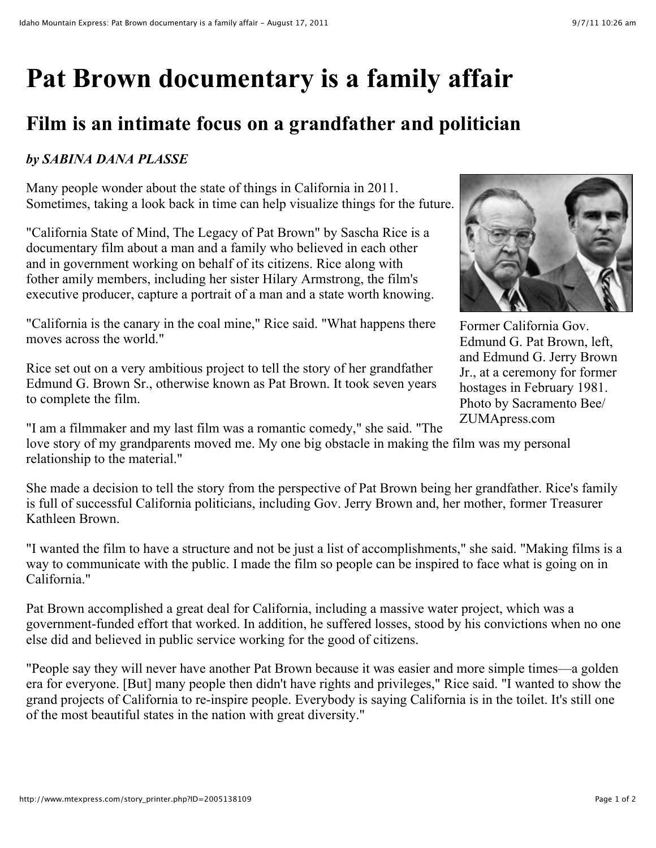## **Pat Brown documentary is a family affair**

## **Film is an intimate focus on a grandfather and politician**

## *by SABINA DANA PLASSE*

Many people wonder about the state of things in California in 2011. Sometimes, taking a look back in time can help visualize things for the future.

"California State of Mind, The Legacy of Pat Brown" by Sascha Rice is a documentary film about a man and a family who believed in each other and in government working on behalf of its citizens. Rice along with fother amily members, including her sister Hilary Armstrong, the film's executive producer, capture a portrait of a man and a state worth knowing.

"California is the canary in the coal mine," Rice said. "What happens there moves across the world."

Rice set out on a very ambitious project to tell the story of her grandfather Edmund G. Brown Sr., otherwise known as Pat Brown. It took seven years to complete the film.



Former California Gov. Edmund G. Pat Brown, left, and Edmund G. Jerry Brown Jr., at a ceremony for former hostages in February 1981. Photo by Sacramento Bee/ ZUMApress.com

"I am a filmmaker and my last film was a romantic comedy," she said. "The love story of my grandparents moved me. My one big obstacle in making the film was my personal relationship to the material."

She made a decision to tell the story from the perspective of Pat Brown being her grandfather. Rice's family is full of successful California politicians, including Gov. Jerry Brown and, her mother, former Treasurer Kathleen Brown.

"I wanted the film to have a structure and not be just a list of accomplishments," she said. "Making films is a way to communicate with the public. I made the film so people can be inspired to face what is going on in California."

Pat Brown accomplished a great deal for California, including a massive water project, which was a government-funded effort that worked. In addition, he suffered losses, stood by his convictions when no one else did and believed in public service working for the good of citizens.

"People say they will never have another Pat Brown because it was easier and more simple times—a golden era for everyone. [But] many people then didn't have rights and privileges," Rice said. "I wanted to show the grand projects of California to re-inspire people. Everybody is saying California is in the toilet. It's still one of the most beautiful states in the nation with great diversity."